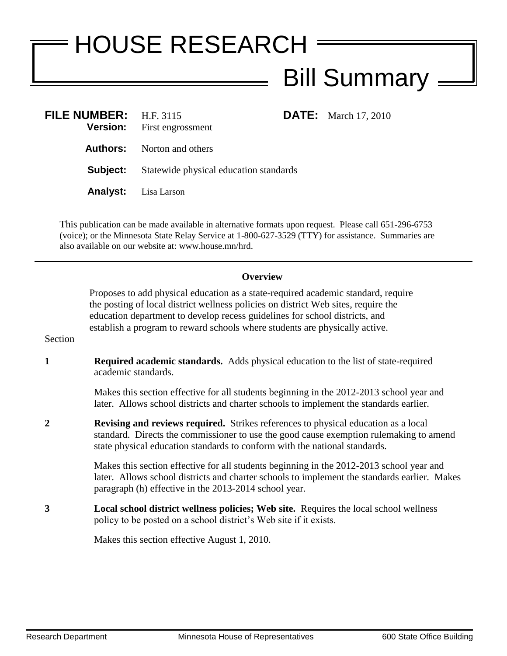## HOUSE RESEARCH **Bill Summary** .

| FILE NUMBER: H.F. 3115 | <b>Version:</b> First engrossment      | <b>DATE:</b> March 17, 2010 |
|------------------------|----------------------------------------|-----------------------------|
|                        | <b>Authors:</b> Norton and others      |                             |
| Subject:               | Statewide physical education standards |                             |
|                        | <b>Analyst:</b> Lisa Larson            |                             |

This publication can be made available in alternative formats upon request. Please call 651-296-6753 (voice); or the Minnesota State Relay Service at 1-800-627-3529 (TTY) for assistance. Summaries are also available on our website at: www.house.mn/hrd.

## **Overview**

Proposes to add physical education as a state-required academic standard, require the posting of local district wellness policies on district Web sites, require the education department to develop recess guidelines for school districts, and establish a program to reward schools where students are physically active.

Section

**1 Required academic standards.** Adds physical education to the list of state-required academic standards.

> Makes this section effective for all students beginning in the 2012-2013 school year and later. Allows school districts and charter schools to implement the standards earlier.

**2 Revising and reviews required.** Strikes references to physical education as a local standard. Directs the commissioner to use the good cause exemption rulemaking to amend state physical education standards to conform with the national standards.

> Makes this section effective for all students beginning in the 2012-2013 school year and later. Allows school districts and charter schools to implement the standards earlier. Makes paragraph (h) effective in the 2013-2014 school year.

**3 Local school district wellness policies; Web site.** Requires the local school wellness policy to be posted on a school district's Web site if it exists.

Makes this section effective August 1, 2010.